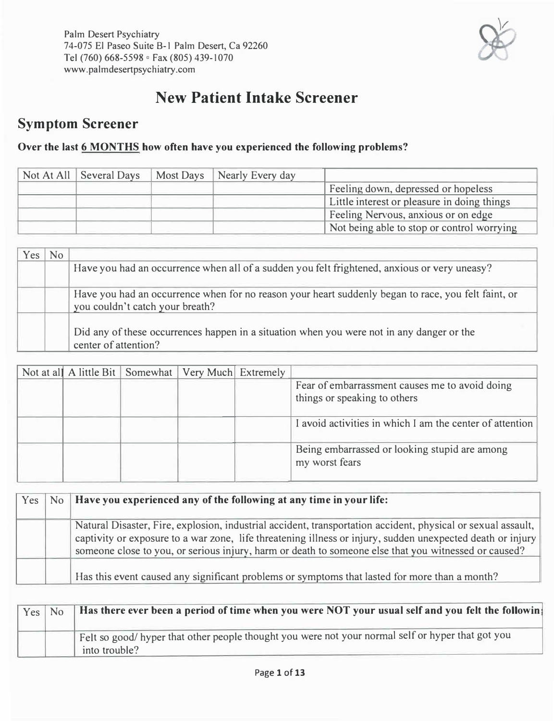

# **New Patient Intake Screener**

# **Symptom Screener**

#### **Over the last 6 MONTHS how often have you experienced the following problems?**

| Not At All   Several Days | Most Days   Nearly Every day |                                             |
|---------------------------|------------------------------|---------------------------------------------|
|                           |                              | Feeling down, depressed or hopeless         |
|                           |                              | Little interest or pleasure in doing things |
|                           |                              | Feeling Nervous, anxious or on edge         |
|                           |                              | Not being able to stop or control worrying  |

| <b>Yes</b> | N <sub>0</sub> |                                                                                                                                        |
|------------|----------------|----------------------------------------------------------------------------------------------------------------------------------------|
|            |                | Have you had an occurrence when all of a sudden you felt frightened, anxious or very uneasy?                                           |
|            |                | Have you had an occurrence when for no reason your heart suddenly began to race, you felt faint, or<br>you couldn't catch your breath? |
|            |                | Did any of these occurrences happen in a situation when you were not in any danger or the<br>center of attention?                      |

|  | Not at all A little Bit Somewhat   Very Much Extremely |                                                                                |
|--|--------------------------------------------------------|--------------------------------------------------------------------------------|
|  |                                                        | Fear of embarrassment causes me to avoid doing<br>things or speaking to others |
|  |                                                        | I avoid activities in which I am the center of attention                       |
|  |                                                        | Being embarrassed or looking stupid are among<br>my worst fears                |

|  | $Yes \mid No \mid Have$ you experienced any of the following at any time in your life:                                                                                                                                                                                                                                               |
|--|--------------------------------------------------------------------------------------------------------------------------------------------------------------------------------------------------------------------------------------------------------------------------------------------------------------------------------------|
|  | Natural Disaster, Fire, explosion, industrial accident, transportation accident, physical or sexual assault,  <br>captivity or exposure to a war zone, life threatening illness or injury, sudden unexpected death or injury<br>someone close to you, or serious injury, harm or death to someone else that you witnessed or caused? |
|  | Has this event caused any significant problems or symptoms that lasted for more than a month?                                                                                                                                                                                                                                        |

| $Yes \mid No$ | Has there ever been a period of time when you were NOT your usual self and you felt the followin                   |
|---------------|--------------------------------------------------------------------------------------------------------------------|
|               | Felt so good/ hyper that other people thought you were not your normal self or hyper that got you<br>into trouble? |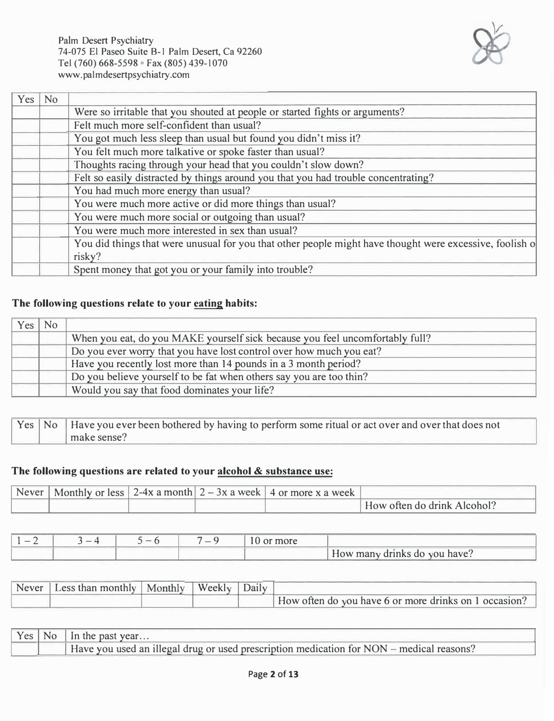

| Yes | N <sub>o</sub> |                                                                                                         |
|-----|----------------|---------------------------------------------------------------------------------------------------------|
|     |                | Were so irritable that you shouted at people or started fights or arguments?                            |
|     |                | Felt much more self-confident than usual?                                                               |
|     |                | You got much less sleep than usual but found you didn't miss it?                                        |
|     |                | You felt much more talkative or spoke faster than usual?                                                |
|     |                | Thoughts racing through your head that you couldn't slow down?                                          |
|     |                | Felt so easily distracted by things around you that you had trouble concentrating?                      |
|     |                | You had much more energy than usual?                                                                    |
|     |                | You were much more active or did more things than usual?                                                |
|     |                | You were much more social or outgoing than usual?                                                       |
|     |                | You were much more interested in sex than usual?                                                        |
|     |                | You did things that were unusual for you that other people might have thought were excessive, foolish o |
|     |                | risky?                                                                                                  |
|     |                | Spent money that got you or your family into trouble?                                                   |

#### **The following questions relate to your eating habits:**

| Yes | No. |                                                                              |
|-----|-----|------------------------------------------------------------------------------|
|     |     | When you eat, do you MAKE yourself sick because you feel uncomfortably full? |
|     |     | Do you ever worry that you have lost control over how much you eat?          |
|     |     | Have you recently lost more than 14 pounds in a 3 month period?              |
|     |     | Do you believe yourself to be fat when others say you are too thin?          |
|     |     | Would you say that food dominates your life?                                 |

|  | Yes   No   Have you ever been bothered by having to perform some ritual or act over and over that does not |
|--|------------------------------------------------------------------------------------------------------------|
|  | make sense?                                                                                                |

#### **The following questions are related to your alcohol & substance use:**

| Never |  | Monthly or less   2-4x a month  $2 - 3x$ a week   4 or more x a week |                             |
|-------|--|----------------------------------------------------------------------|-----------------------------|
|       |  |                                                                      | How often do drink Alcohol? |

| $\overline{\phantom{a}}$ | — <u>4</u> | $\sim$ | $\overline{\phantom{a}}$ | more |                              |
|--------------------------|------------|--------|--------------------------|------|------------------------------|
|                          |            |        |                          |      | How many drinks do you have? |

| Never   Less than monthly   Monthly | $\mathbf{v}$ Weekly | Daily |                                                       |
|-------------------------------------|---------------------|-------|-------------------------------------------------------|
|                                     |                     |       | How often do you have 6 or more drinks on 1 occasion? |

| Yes <sub>1</sub> | ' NO | In the past year                                                                         |
|------------------|------|------------------------------------------------------------------------------------------|
|                  |      | Have you used an illegal drug or used prescription medication for NON – medical reasons? |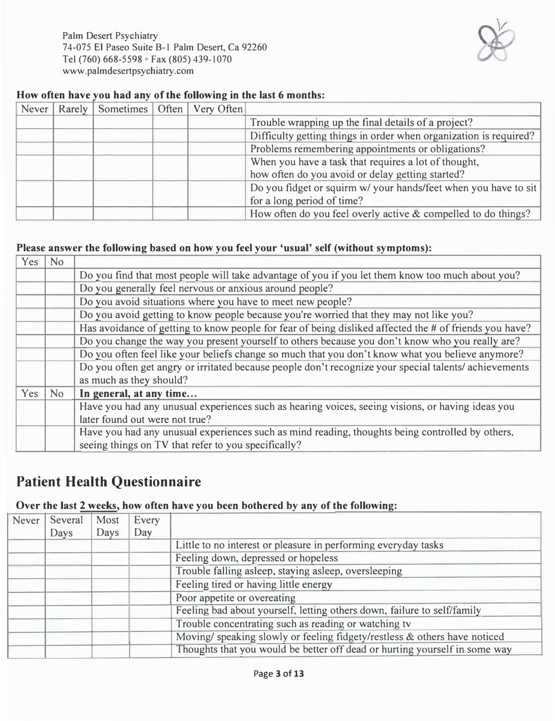Palm Desert Psychiatry 74-075 El Paseo Suite 8-1 Palm Desert, Ca 92260 Tel (760) 668-5598 ° Fax (805) 439-1070 www.palmdesertpsychiatry.com



#### **How often have you had any of the following in the last 6 months:**

| Never | Rarely   Sometimes   Often   Very Often |  |                                                                   |
|-------|-----------------------------------------|--|-------------------------------------------------------------------|
|       |                                         |  | Trouble wrapping up the final details of a project?               |
|       |                                         |  | Difficulty getting things in order when organization is required? |
|       |                                         |  | Problems remembering appointments or obligations?                 |
|       |                                         |  | When you have a task that requires a lot of thought,              |
|       |                                         |  | how often do you avoid or delay getting started?                  |
|       |                                         |  | Do you fidget or squirm w/ your hands/feet when you have to sit   |
|       |                                         |  | for a long period of time?                                        |
|       |                                         |  | How often do you feel overly active & compelled to do things?     |

#### **Please answer the following based on how you feel your 'usual' self (without symptoms):**

| Yes | <b>No</b> |                                                                                                                                 |
|-----|-----------|---------------------------------------------------------------------------------------------------------------------------------|
|     |           | Do you find that most people will take advantage of you if you let them know too much about you?                                |
|     |           | Do you generally feel nervous or anxious around people?                                                                         |
|     |           | Do you avoid situations where you have to meet new people?                                                                      |
|     |           | Do you avoid getting to know people because you're worried that they may not like you?                                          |
|     |           | Has avoidance of getting to know people for fear of being disliked affected the # of friends you have?                          |
|     |           | Do you change the way you present yourself to others because you don't know who you really are?                                 |
|     |           | Do you often feel like your beliefs change so much that you don't know what you believe anymore?                                |
|     |           | Do you often get angry or irritated because people don't recognize your special talents/achievements<br>as much as they should? |
| Yes | <b>No</b> | In general, at any time                                                                                                         |
|     |           | Have you had any unusual experiences such as hearing voices, seeing visions, or having ideas you                                |
|     |           | later found out were not true?                                                                                                  |
|     |           | Have you had any unusual experiences such as mind reading, thoughts being controlled by others,                                 |
|     |           | seeing things on TV that refer to you specifically?                                                                             |

# **Patient Health Questionnaire**

#### **Over the last 2 weeks, how often have you been bothered by any of the following:**

| Never | Several | Most | Every |                                                                            |
|-------|---------|------|-------|----------------------------------------------------------------------------|
|       | Days    | Days | Day   |                                                                            |
|       |         |      |       | Little to no interest or pleasure in performing everyday tasks             |
|       |         |      |       | Feeling down, depressed or hopeless                                        |
|       |         |      |       | Trouble falling asleep, staying asleep, oversleeping                       |
|       |         |      |       | Feeling tired or having little energy                                      |
|       |         |      |       | Poor appetite or overeating                                                |
|       |         |      |       | Feeling bad about yourself, letting others down, failure to self/family    |
|       |         |      |       | Trouble concentrating such as reading or watching tv                       |
|       |         |      |       | Moving/ speaking slowly or feeling fidgety/restless & others have noticed  |
|       |         |      |       | Thoughts that you would be better off dead or hurting yourself in some way |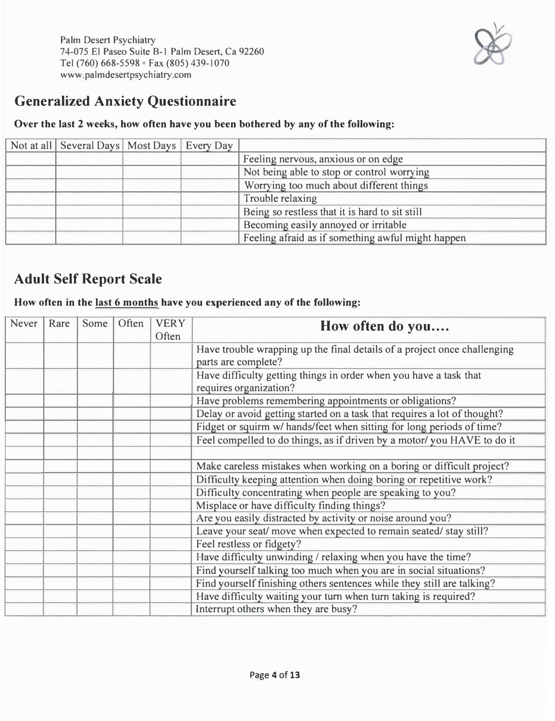

# **Generalized Anxiety Questionnaire**

#### **Over the last 2 weeks, how often have you been bothered by any of the following:**

| Not at all Several Days   Most Days   Every Day |  |                                                   |
|-------------------------------------------------|--|---------------------------------------------------|
|                                                 |  | Feeling nervous, anxious or on edge               |
|                                                 |  | Not being able to stop or control worrying        |
|                                                 |  | Worrying too much about different things          |
|                                                 |  | Trouble relaxing                                  |
|                                                 |  | Being so restless that it is hard to sit still    |
|                                                 |  | Becoming easily annoyed or irritable              |
|                                                 |  | Feeling afraid as if something awful might happen |

# **Adult Self Report Scale**

#### **How often in the last 6 months have you experienced any of the following:**

| Never | Rare | Some | Often | <b>VERY</b><br>Often | How often do you                                                                                |
|-------|------|------|-------|----------------------|-------------------------------------------------------------------------------------------------|
|       |      |      |       |                      | Have trouble wrapping up the final details of a project once challenging<br>parts are complete? |
|       |      |      |       |                      | Have difficulty getting things in order when you have a task that<br>requires organization?     |
|       |      |      |       |                      | Have problems remembering appointments or obligations?                                          |
|       |      |      |       |                      | Delay or avoid getting started on a task that requires a lot of thought?                        |
|       |      |      |       |                      | Fidget or squirm w/ hands/feet when sitting for long periods of time?                           |
|       |      |      |       |                      | Feel compelled to do things, as if driven by a motor/you HAVE to do it                          |
|       |      |      |       |                      |                                                                                                 |
|       |      |      |       |                      | Make careless mistakes when working on a boring or difficult project?                           |
|       |      |      |       |                      | Difficulty keeping attention when doing boring or repetitive work?                              |
|       |      |      |       |                      | Difficulty concentrating when people are speaking to you?                                       |
|       |      |      |       |                      | Misplace or have difficulty finding things?                                                     |
|       |      |      |       |                      | Are you easily distracted by activity or noise around you?                                      |
|       |      |      |       |                      | Leave your seat/ move when expected to remain seated/ stay still?                               |
|       |      |      |       |                      | Feel restless or fidgety?                                                                       |
|       |      |      |       |                      | Have difficulty unwinding / relaxing when you have the time?                                    |
|       |      |      |       |                      | Find yourself talking too much when you are in social situations?                               |
|       |      |      |       |                      | Find yourself finishing others sentences while they still are talking?                          |
|       |      |      |       |                      | Have difficulty waiting your turn when turn taking is required?                                 |
|       |      |      |       |                      | Interrupt others when they are busy?                                                            |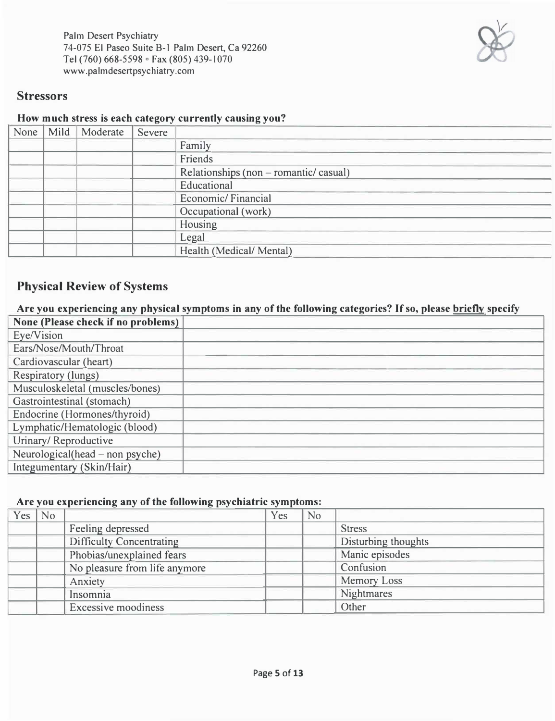Palm Desert Psychiatry 74-075 El Paseo Suite B-1 Palm Desert, Ca 92260 Tel (760) 668-5598 ° Fax (805) 439-1070 www. palmdesertpsych iatry .com



#### **Stressors**

#### **How much stress is each category currently causing you?**

| None | Mild | Moderate | Severe |                                        |
|------|------|----------|--------|----------------------------------------|
|      |      |          |        | Family                                 |
|      |      |          |        | Friends                                |
|      |      |          |        | Relationships (non – romantic/ casual) |
|      |      |          |        | Educational                            |
|      |      |          |        | Economic/Financial                     |
|      |      |          |        | Occupational (work)                    |
|      |      |          |        | Housing                                |
|      |      |          |        | Legal                                  |
|      |      |          |        | Health (Medical/ Mental)               |

### **Physical Review of Systems**

#### **Are you experiencing any physical symptoms in any of the following categories? If so, please brieflv specify**

| None (Please check if no problems) |  |
|------------------------------------|--|
| Eye/Vision                         |  |
| Ears/Nose/Mouth/Throat             |  |
| Cardiovascular (heart)             |  |
| <b>Respiratory (lungs)</b>         |  |
| Musculoskeletal (muscles/bones)    |  |
| Gastrointestinal (stomach)         |  |
| Endocrine (Hormones/thyroid)       |  |
| Lymphatic/Hematologic (blood)      |  |
| Urinary/Reproductive               |  |
| Neurological(head – non psyche)    |  |
| Integumentary (Skin/Hair)          |  |

#### **Are you experiencing any of the following psychiatric symptoms:**

| $Yes \mid No$ |                                 | Yes | N <sub>o</sub> |                     |
|---------------|---------------------------------|-----|----------------|---------------------|
|               | Feeling depressed               |     |                | <b>Stress</b>       |
|               | <b>Difficulty Concentrating</b> |     |                | Disturbing thoughts |
|               | Phobias/unexplained fears       |     |                | Manic episodes      |
|               | No pleasure from life anymore   |     |                | Confusion           |
|               | Anxiety                         |     |                | Memory Loss         |
|               | Insomnia                        |     |                | Nightmares          |
|               | <b>Excessive moodiness</b>      |     |                | Other               |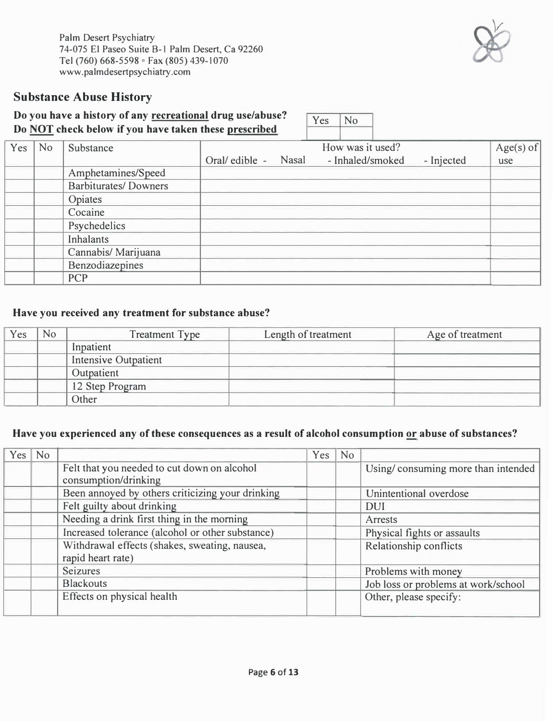### **Substance Abuse History**

#### **Do you have a history of any recreational drug use/abuse?**  Do NOT check below if you have taken these prescribed

| No | Substance                   |  | How was it used? |                                          | Age(s) of  |
|----|-----------------------------|--|------------------|------------------------------------------|------------|
|    |                             |  |                  |                                          | use        |
|    | Amphetamines/Speed          |  |                  |                                          |            |
|    | <b>Barbiturates/Downers</b> |  |                  |                                          |            |
|    | Opiates                     |  |                  |                                          |            |
|    | Cocaine                     |  |                  |                                          |            |
|    | Psychedelics                |  |                  |                                          |            |
|    | Inhalants                   |  |                  |                                          |            |
|    | Cannabis/ Marijuana         |  |                  |                                          |            |
|    | Benzodiazepines             |  |                  |                                          |            |
|    | <b>PCP</b>                  |  |                  |                                          |            |
|    |                             |  |                  | - Inhaled/smoked<br>Oral/ edible - Nasal | - Injected |

#### **Have you received any treatment for substance abuse?**

| Yes | No | <b>Treatment Type</b>       | Length of treatment | Age of treatment |
|-----|----|-----------------------------|---------------------|------------------|
|     |    | Inpatient                   |                     |                  |
|     |    | <b>Intensive Outpatient</b> |                     |                  |
|     |    | Outpatient                  |                     |                  |
|     |    | 12 Step Program             |                     |                  |
|     |    | Other                       |                     |                  |

#### **Have you experienced any of these consequences as a result of alcohol consumption or abuse of substances?**

| $Yes \mid No$ |                                                  | Yes | <b>No</b> |                                     |
|---------------|--------------------------------------------------|-----|-----------|-------------------------------------|
|               | Felt that you needed to cut down on alcohol      |     |           | Using/consuming more than intended  |
|               | consumption/drinking                             |     |           |                                     |
|               | Been annoyed by others criticizing your drinking |     |           | Unintentional overdose              |
|               | Felt guilty about drinking                       |     |           | <b>DUI</b>                          |
|               | Needing a drink first thing in the morning       |     |           | Arrests                             |
|               | Increased tolerance (alcohol or other substance) |     |           | Physical fights or assaults         |
|               | Withdrawal effects (shakes, sweating, nausea,    |     |           | Relationship conflicts              |
|               | rapid heart rate)                                |     |           |                                     |
|               | <b>Seizures</b>                                  |     |           | Problems with money                 |
|               | <b>Blackouts</b>                                 |     |           | Job loss or problems at work/school |
|               | Effects on physical health                       |     |           | Other, please specify:              |
|               |                                                  |     |           |                                     |



Yes No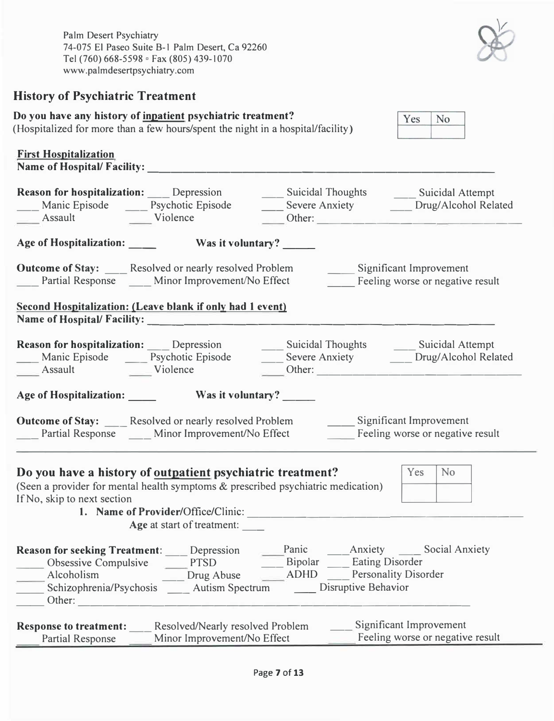Palm Desert Psychiatry 74-075 El Paseo Suite B-1 Palm Desert, Ca 92260 Tel (760) 668-5598 ° Fax (805) 439-1070 www.palmdesertpsychiatry.com

## **History of Psychiatric Treatment**

| Do you have any history of inpatient psychiatric treatment?<br>(Hospitalized for more than a few hours/spent the night in a hospital/facility)                                |                                                                   |                                                                   | No<br>Yes                                                                                                                                                 |
|-------------------------------------------------------------------------------------------------------------------------------------------------------------------------------|-------------------------------------------------------------------|-------------------------------------------------------------------|-----------------------------------------------------------------------------------------------------------------------------------------------------------|
| <b>First Hospitalization</b><br><b>Name of Hospital/Facility:</b>                                                                                                             |                                                                   |                                                                   |                                                                                                                                                           |
| <b>Reason for hospitalization:</b> Depression<br>Manic Episode _______ Psychotic Episode<br>Assault Violence                                                                  |                                                                   |                                                                   | ____ Suicidal Thoughts ______ Suicidal Attempt<br>Severe Anxiety Drug/Alcohol Related<br>Other:                                                           |
| Age of Hospitalization: Was it voluntary?                                                                                                                                     |                                                                   |                                                                   |                                                                                                                                                           |
| <b>Outcome of Stay:</b> ____ Resolved or nearly resolved Problem                                                                                                              |                                                                   |                                                                   | Significant Improvement<br>___ Partial Response ____ Minor Improvement/No Effect _______ Feeling worse or negative result                                 |
| <b>Second Hospitalization: (Leave blank if only had 1 event)</b><br>Name of Hospital/Facility:                                                                                |                                                                   |                                                                   |                                                                                                                                                           |
| <b>Reason for hospitalization:</b> Depression<br>Assault Violence                                                                                                             |                                                                   |                                                                   | ___ Suicidal Thoughts _____ Suicidal Attempt<br>Manic Episode _______ Psychotic Episode __________ Severe Anxiety ________ Drug/Alcohol Related<br>Other: |
| Age of Hospitalization: _______ Was it voluntary? _____                                                                                                                       |                                                                   |                                                                   |                                                                                                                                                           |
| <b>Outcome of Stay:</b> ____ Resolved or nearly resolved Problem ______ Significant Improvement                                                                               |                                                                   |                                                                   | Partial Response ___ Minor Improvement/No Effect ______ Feeling worse or negative result                                                                  |
| Do you have a history of outpatient psychiatric treatment?<br>(Seen a provider for mental health symptoms & prescribed psychiatric medication)<br>If No, skip to next section | Age at start of treatment:                                        | 1. Name of Provider/Office/Clinic:                                | Yes<br>N <sub>o</sub>                                                                                                                                     |
| <b>Reason for seeking Treatment:</b><br><b>Obsessive Compulsive</b><br>Alcoholism<br>Schizophrenia/Psychosis<br>Other:                                                        | Depression<br><b>PTSD</b><br>Drug Abuse<br><b>Autism Spectrum</b> | Panic<br>Anxiety<br>Bipolar<br><b>ADHD</b><br>Disruptive Behavior | <b>Social Anxiety</b><br><b>Eating Disorder</b><br><b>Personality Disorder</b>                                                                            |
| <b>Response to treatment:</b><br><b>Partial Response</b>                                                                                                                      | Resolved/Nearly resolved Problem<br>Minor Improvement/No Effect   |                                                                   | Significant Improvement<br>Feeling worse or negative result                                                                                               |

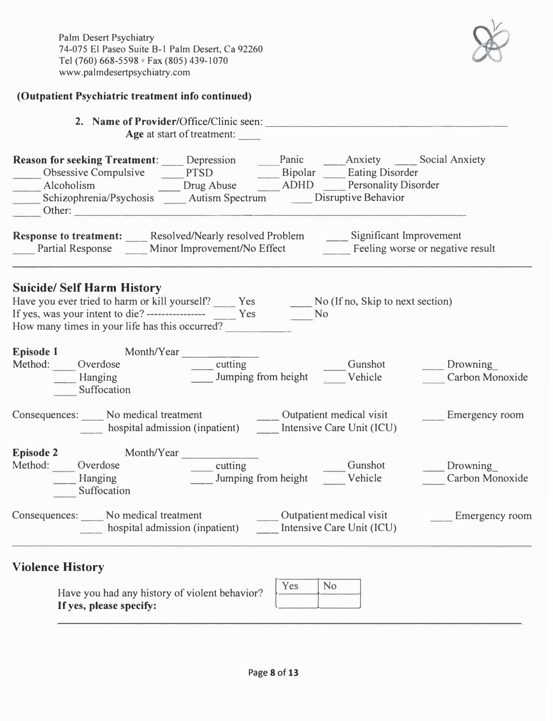#### **(Outpatient Psychiatric treatment info continued)**

| 2. Name of Provider/Office/Clinic seen: |
|-----------------------------------------|
| Age at start of treatment:              |

| <b>Reason for seeking Treatment:</b> | Depression                       | Panic       | Anxiety                     | <b>Social Anxiety</b>   |
|--------------------------------------|----------------------------------|-------------|-----------------------------|-------------------------|
| Obsessive Compulsive                 | <b>PTSD</b>                      | Bipolar     | <b>Eating Disorder</b>      |                         |
| Alcoholism                           | Drug Abuse                       | <b>ADHD</b> | <b>Personality Disorder</b> |                         |
| Schizophrenia/Psychosis              | <b>Autism Spectrum</b>           |             | Disruptive Behavior         |                         |
| Other:                               |                                  |             |                             |                         |
| <b>Response to treatment:</b>        | Resolved/Nearly resolved Problem |             |                             | Significant Improvement |

| Response to treatment.  | <i>Resorved Pearly Resorved Fronchi</i> | $\sigma$                         |
|-------------------------|-----------------------------------------|----------------------------------|
| <b>Partial Response</b> | Minor Improvement/No Effect             | Feeling worse or negative result |

#### **Suicide/ Self Harm History**

| Have you ever tried to harm or kill yourself?     |     | No (If no, Skip to next section) |
|---------------------------------------------------|-----|----------------------------------|
| If yes, was your intent to die? ----------------- | Yes |                                  |
| How many times in your life has this occurred?    |     |                                  |

| <b>Episode 1</b> | Month/Year                         |                                |                          |                             |
|------------------|------------------------------------|--------------------------------|--------------------------|-----------------------------|
| Method:          | Overdose<br>Hanging<br>Suffocation | cutting<br>Jumping from height | Gunshot<br>Vehicle       | Drowning<br>Carbon Monoxide |
|                  | No modical transmart               |                                | Outportions modical wait | $E$ magneton ou no ona      |

| Consequences: | No medical treatment           | Outpatient medical visit  | Emergency room |
|---------------|--------------------------------|---------------------------|----------------|
|               | hospital admission (inpatient) | Intensive Care Unit (ICU) |                |
|               |                                |                           |                |

| <b>Episode 2</b> | Month/Year             |                     |         |                 |
|------------------|------------------------|---------------------|---------|-----------------|
| Method:          | <b>Dverdose</b>        | cutting             | Gunshot | Drowning        |
|                  | Hanging<br>Suffocation | Jumping from height | Vehicle | Carbon Monoxide |

| Consequences:<br>No medical treatment | hospital admission (inpatient) | Outpatient medical visit<br>Intensive Care Unit (ICU) | <b>Emergency room</b> |
|---------------------------------------|--------------------------------|-------------------------------------------------------|-----------------------|
|---------------------------------------|--------------------------------|-------------------------------------------------------|-----------------------|

## **Violence History**

Have you had any history of violent behavior? **If yes, please specify:** 

| No |
|----|
|    |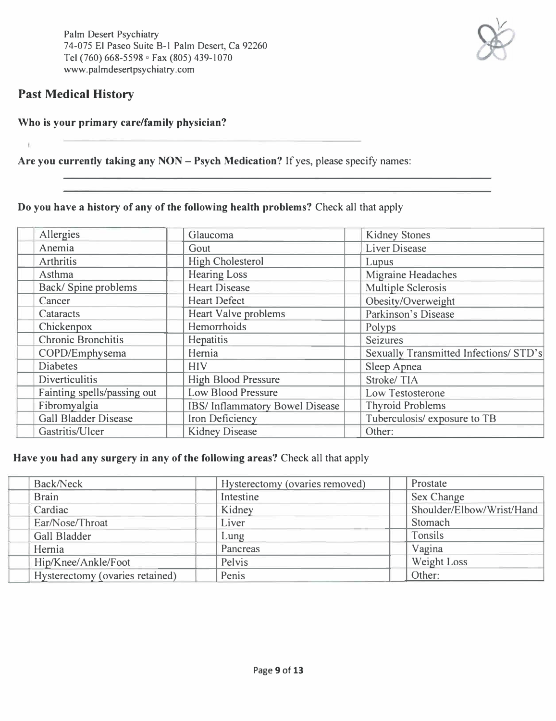

 $\mathbf{t}$ 

#### **Who is your primary care/family physician?**

**Are you currently taking any NON - Psych Medication?** If yes, please specify names:

**Do you have a history of any of the following health problems?** Check all that apply

| Allergies                   | Glaucoma                       | <b>Kidney Stones</b>                   |
|-----------------------------|--------------------------------|----------------------------------------|
| Anemia                      | Gout                           | <b>Liver Disease</b>                   |
| Arthritis                   | <b>High Cholesterol</b>        | Lupus                                  |
| Asthma                      | <b>Hearing Loss</b>            | Migraine Headaches                     |
| Back/Spine problems         | <b>Heart Disease</b>           | <b>Multiple Sclerosis</b>              |
| Cancer                      | <b>Heart Defect</b>            | Obesity/Overweight                     |
| Cataracts                   | Heart Valve problems           | Parkinson's Disease                    |
| Chickenpox                  | Hemorrhoids                    | Polyps                                 |
| <b>Chronic Bronchitis</b>   | Hepatitis                      | <b>Seizures</b>                        |
| COPD/Emphysema              | Hernia                         | Sexually Transmitted Infections/ STD's |
| <b>Diabetes</b>             | <b>HIV</b>                     | Sleep Apnea                            |
| <b>Diverticulitis</b>       | <b>High Blood Pressure</b>     | Stroke/TIA                             |
| Fainting spells/passing out | <b>Low Blood Pressure</b>      | Low Testosterone                       |
| Fibromyalgia                | IBS/Inflammatory Bowel Disease | <b>Thyroid Problems</b>                |
| <b>Gall Bladder Disease</b> | Iron Deficiency                | Tuberculosis/exposure to TB            |
| Gastritis/Ulcer             | <b>Kidney Disease</b>          | Other:                                 |

#### **Have you had any surgery in any of the following areas?** Check all that apply

| Back/Neck                       | Hysterectomy (ovaries removed) | Prostate                  |
|---------------------------------|--------------------------------|---------------------------|
| <b>Brain</b>                    | Intestine                      | Sex Change                |
| Cardiac                         | Kidney                         | Shoulder/Elbow/Wrist/Hand |
| Ear/Nose/Throat                 | Liver                          | Stomach                   |
| Gall Bladder                    | Lung                           | Tonsils                   |
| Hernia                          | Pancreas                       | Vagina                    |
| Hip/Knee/Ankle/Foot             | Pelvis                         | Weight Loss               |
| Hysterectomy (ovaries retained) | Penis                          | Other:                    |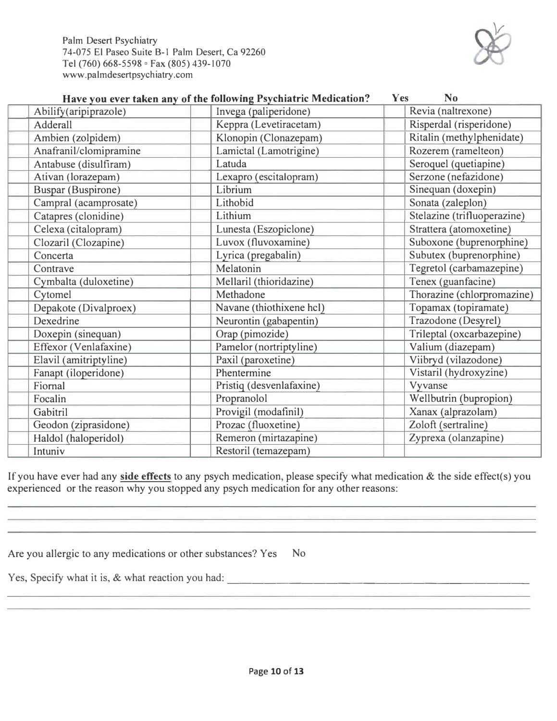Palm Desert Psychiatry 74-075 El Paseo Suite 8-1 Palm Desert, Ca 92260 Tel (760) 668-5598 ° Fax (805) 439-1070 www.palmdesertpsychiatry.com

| Have you ever taken any of the following Psychiatric Medication? | N <sub>o</sub><br><b>Yes</b> |                             |
|------------------------------------------------------------------|------------------------------|-----------------------------|
| Abilify(aripiprazole)                                            | Invega (paliperidone)        | Revia (naltrexone)          |
| Adderall<br>Keppra (Levetiracetam)                               |                              | Risperdal (risperidone)     |
| Ambien (zolpidem)                                                | Klonopin (Clonazepam)        | Ritalin (methylphenidate)   |
| Anafranil/clomipramine                                           | Lamictal (Lamotrigine)       | Rozerem (ramelteon)         |
| Antabuse (disulfiram)                                            | Latuda                       | Seroquel (quetiapine)       |
| Ativan (lorazepam)                                               | Lexapro (escitalopram)       | Serzone (nefazidone)        |
| <b>Buspar (Buspirone)</b>                                        | Librium                      | Sinequan (doxepin)          |
| Campral (acamprosate)                                            | Lithobid                     | Sonata (zaleplon)           |
| Catapres (clonidine)                                             | Lithium                      | Stelazine (trifluoperazine) |
| Celexa (citalopram)                                              | Lunesta (Eszopiclone)        | Strattera (atomoxetine)     |
| Clozaril (Clozapine)                                             | Luvox (fluvoxamine)          | Suboxone (buprenorphine)    |
| Concerta                                                         | Lyrica (pregabalin)          | Subutex (buprenorphine)     |
| Contrave                                                         | Melatonin                    | Tegretol (carbamazepine)    |
| Cymbalta (duloxetine)                                            | Mellaril (thioridazine)      | Tenex (guanfacine)          |
| Cytomel                                                          | Methadone                    | Thorazine (chlorpromazine)  |
| Depakote (Divalproex)                                            | Navane (thiothixene hcl)     | Topamax (topiramate)        |
| Dexedrine                                                        | Neurontin (gabapentin)       | Trazodone (Desyrel)         |
| Doxepin (sinequan)                                               | Orap (pimozide)              | Trileptal (oxcarbazepine)   |
| Effexor (Venlafaxine)                                            | Pamelor (nortriptyline)      | Valium (diazepam)           |
| Elavil (amitriptyline)                                           | Paxil (paroxetine)           | Viibryd (vilazodone)        |
| Fanapt (iloperidone)                                             | Phentermine                  | Vistaril (hydroxyzine)      |
| Fiornal                                                          | Pristiq (desvenlafaxine)     | Vyvanse                     |
| Focalin                                                          | Propranolol                  | Wellbutrin (bupropion)      |
| Gabitril                                                         | Provigil (modafinil)         | Xanax (alprazolam)          |
| Geodon (ziprasidone)                                             | Prozac (fluoxetine)          | Zoloft (sertraline)         |
| Haldol (haloperidol)                                             | Remeron (mirtazapine)        | Zyprexa (olanzapine)        |
| Restoril (temazepam)<br>Intuniv                                  |                              |                             |

If you have ever had any **side effects** to any psych medication, please specify what medication & the side effect(s) you experienced or the reason why you stopped any psych medication for any other reasons:

| Are you allergic to any medications or other substances? Yes No |  |
|-----------------------------------------------------------------|--|
|-----------------------------------------------------------------|--|

Yes, Specify what it is, & what reaction you had:  $\blacksquare$ 

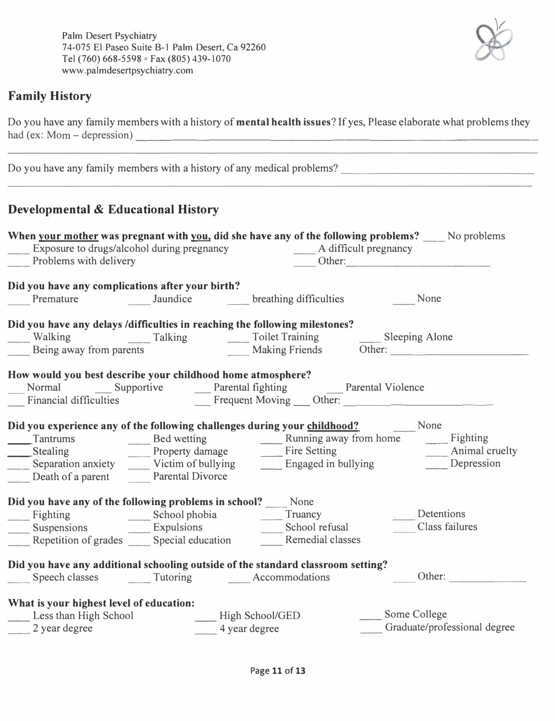

### **Family History**

Do you have any family members with a history of **mental health issues?** If yes, Please elaborate what problems they had (ex:  $Mom - depression$ )

| <b>Developmental &amp; Educational History</b>                                                                                                                                                                                |                         |                                  |                           |                                                                                                                                                                                                                                                     |
|-------------------------------------------------------------------------------------------------------------------------------------------------------------------------------------------------------------------------------|-------------------------|----------------------------------|---------------------------|-----------------------------------------------------------------------------------------------------------------------------------------------------------------------------------------------------------------------------------------------------|
|                                                                                                                                                                                                                               |                         |                                  |                           |                                                                                                                                                                                                                                                     |
|                                                                                                                                                                                                                               |                         |                                  |                           | <b>When your mother was pregnant with you, did she have any of the following problems?</b> No problems                                                                                                                                              |
| Exposure to drugs/alcohol during pregnancy                                                                                                                                                                                    |                         |                                  | ___ A difficult pregnancy |                                                                                                                                                                                                                                                     |
| Problems with delivery                                                                                                                                                                                                        |                         |                                  |                           |                                                                                                                                                                                                                                                     |
| Did you have any complications after your birth?                                                                                                                                                                              |                         |                                  |                           |                                                                                                                                                                                                                                                     |
|                                                                                                                                                                                                                               |                         |                                  |                           | None                                                                                                                                                                                                                                                |
|                                                                                                                                                                                                                               |                         |                                  |                           |                                                                                                                                                                                                                                                     |
| Did you have any delays /difficulties in reaching the following milestones?                                                                                                                                                   |                         |                                  |                           |                                                                                                                                                                                                                                                     |
|                                                                                                                                                                                                                               |                         |                                  |                           |                                                                                                                                                                                                                                                     |
|                                                                                                                                                                                                                               |                         |                                  |                           |                                                                                                                                                                                                                                                     |
| How would you best describe your childhood home atmosphere?                                                                                                                                                                   |                         |                                  |                           |                                                                                                                                                                                                                                                     |
|                                                                                                                                                                                                                               |                         |                                  |                           |                                                                                                                                                                                                                                                     |
|                                                                                                                                                                                                                               |                         |                                  |                           | Normal Supportive Parental fighting<br>Financial difficulties Frequent Moving Other:                                                                                                                                                                |
|                                                                                                                                                                                                                               |                         |                                  |                           |                                                                                                                                                                                                                                                     |
| Did you experience any of the following challenges during your childhood?                                                                                                                                                     |                         |                                  |                           | None                                                                                                                                                                                                                                                |
|                                                                                                                                                                                                                               |                         |                                  |                           | Tantrums<br>Stealing<br>Separation anxiety<br>The Bed wetting<br>Property damage<br>Victim of bullying<br>Time Separation anxiety<br>Time Separation anxiety<br>Time Separation anxiety<br>Time Separation anxiety<br>The Separation anxiety<br>The |
|                                                                                                                                                                                                                               |                         |                                  |                           | __ Animal cruelty                                                                                                                                                                                                                                   |
|                                                                                                                                                                                                                               |                         |                                  |                           |                                                                                                                                                                                                                                                     |
| Death of a parent                                                                                                                                                                                                             | <b>Parental Divorce</b> |                                  |                           |                                                                                                                                                                                                                                                     |
| Did you have any of the following problems in school? None                                                                                                                                                                    |                         |                                  |                           |                                                                                                                                                                                                                                                     |
|                                                                                                                                                                                                                               |                         |                                  |                           | Detentions                                                                                                                                                                                                                                          |
| Suspensions Communications Communications Communications Communications Communications Communications Communications Communications Communications Communications Communications Communications Communications Communications |                         |                                  |                           | Class failures                                                                                                                                                                                                                                      |
| Repetition of grades _____ Special education ______ Remedial classes                                                                                                                                                          |                         |                                  |                           |                                                                                                                                                                                                                                                     |
|                                                                                                                                                                                                                               |                         |                                  |                           |                                                                                                                                                                                                                                                     |
| Did you have any additional schooling outside of the standard classroom setting?                                                                                                                                              |                         |                                  |                           |                                                                                                                                                                                                                                                     |
| Speech classes                                                                                                                                                                                                                | Tutoring                |                                  | Accommodations            | Other:                                                                                                                                                                                                                                              |
|                                                                                                                                                                                                                               |                         |                                  |                           |                                                                                                                                                                                                                                                     |
| What is your highest level of education:                                                                                                                                                                                      |                         |                                  |                           |                                                                                                                                                                                                                                                     |
|                                                                                                                                                                                                                               |                         |                                  |                           |                                                                                                                                                                                                                                                     |
| Less than High School<br>2 year degree                                                                                                                                                                                        |                         | High School/GED<br>4 year degree |                           | Some College<br>Graduate/professional degree                                                                                                                                                                                                        |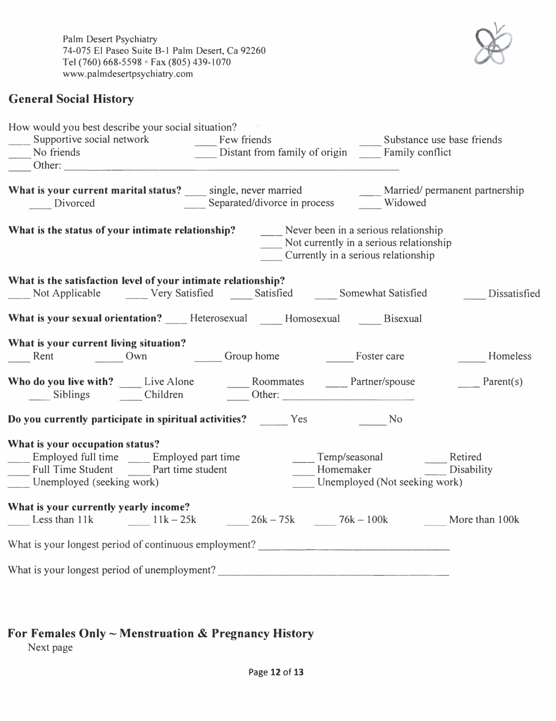Palm Desert Psychiatry 74-075 El Paseo Suite B-1 Palm Desert, Ca 92260 Tel (760) 668-5598 ° Fax (805) 439-1070 www.palmdesertpsychiatry.com

### **General Social History**

| How would you best describe your social situation?                                                                                                      |                                               |  |  |                                         |                            |  |  |
|---------------------------------------------------------------------------------------------------------------------------------------------------------|-----------------------------------------------|--|--|-----------------------------------------|----------------------------|--|--|
| Supportive social network Few friends<br>$\sim$ 10 $\pm$                                                                                                |                                               |  |  |                                         | Substance use base friends |  |  |
| No friends                                                                                                                                              | Distant from family of origin Family conflict |  |  |                                         |                            |  |  |
|                                                                                                                                                         |                                               |  |  |                                         |                            |  |  |
| What is your current marital status? ____ single, never married ________ Married/ permanent partnership<br>___ Separated/divorce in process<br>Divorced |                                               |  |  | Widowed                                 |                            |  |  |
|                                                                                                                                                         |                                               |  |  |                                         |                            |  |  |
| What is the status of your intimate relationship? Never been in a serious relationship                                                                  |                                               |  |  | Not currently in a serious relationship |                            |  |  |
|                                                                                                                                                         |                                               |  |  | Currently in a serious relationship     |                            |  |  |
| What is the satisfaction level of your intimate relationship?                                                                                           |                                               |  |  |                                         |                            |  |  |
| Not Applicable Corp Carry Satisfied Constant Satisfied Constant Satisfied Constant Satisfied                                                            |                                               |  |  |                                         |                            |  |  |
|                                                                                                                                                         |                                               |  |  |                                         |                            |  |  |
| What is your sexual orientation? _____ Heterosexual ______ Homosexual Bisexual                                                                          |                                               |  |  |                                         |                            |  |  |
| What is your current living situation?                                                                                                                  |                                               |  |  |                                         |                            |  |  |
| Rent Own Group home Foster care                                                                                                                         |                                               |  |  |                                         | Homeless                   |  |  |
|                                                                                                                                                         |                                               |  |  |                                         |                            |  |  |
| Who do you live with? Live Alone Moommates Mathematics Partner/spouse                                                                                   |                                               |  |  |                                         | Parent $(s)$               |  |  |
| Siblings Children Children Cher:                                                                                                                        |                                               |  |  |                                         |                            |  |  |
| Do you currently participate in spiritual activities? Yes Yes No                                                                                        |                                               |  |  |                                         |                            |  |  |
| What is your occupation status?                                                                                                                         |                                               |  |  |                                         |                            |  |  |
| ___ Employed full time ___ Employed part time                                                                                                           |                                               |  |  | ____ Temp/seasonal ______ Retired       |                            |  |  |
| Full Time Student Part time student                                                                                                                     |                                               |  |  | Homemaker Disability                    |                            |  |  |
| Unemployed (seeking work)                                                                                                                               |                                               |  |  | Unemployed (Not seeking work)           |                            |  |  |
| What is your currently yearly income?                                                                                                                   |                                               |  |  |                                         |                            |  |  |
| Less than 11k $11k - 25k = 26k - 75k = 76k - 100k$ More than 100k                                                                                       |                                               |  |  |                                         |                            |  |  |
|                                                                                                                                                         |                                               |  |  |                                         |                            |  |  |
| What is your longest period of unemployment?                                                                                                            |                                               |  |  |                                         |                            |  |  |

## **For Females Only** ~ **Menstruation** & **Pregnancy History**

Next page